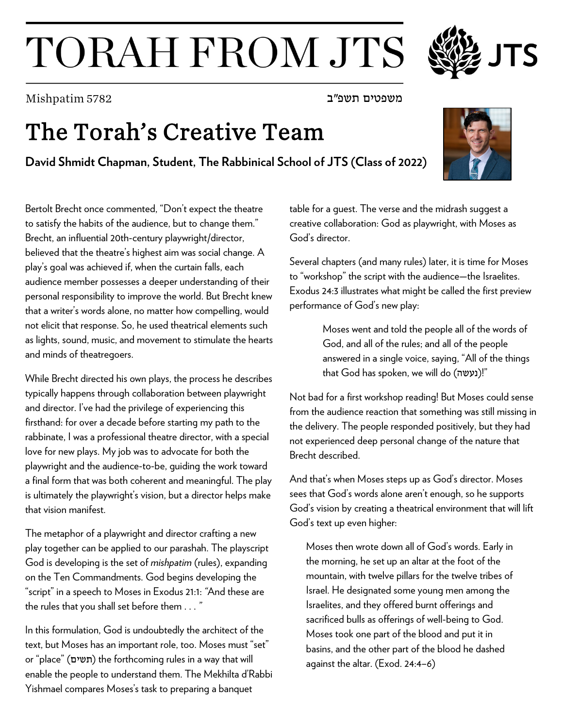## TORAH FROM JTS

משפטים תשפ"ב 5782 Mishpatim

## The Torah's Creative Team

**David Shmidt Chapman, Student, The Rabbinical School of JTS (Class of 2022)**

Bertolt Brecht once commented, "Don't expect the theatre to satisfy the habits of the audience, but to change them." Brecht, an influential 20th-century playwright/director, believed that the theatre's highest aim was social change. A play's goal was achieved if, when the curtain falls, each audience member possesses a deeper understanding of their personal responsibility to improve the world. But Brecht knew that a writer's words alone, no matter how compelling, would not elicit that response. So, he used theatrical elements such as lights, sound, music, and movement to stimulate the hearts and minds of theatregoers.

While Brecht directed his own plays, the process he describes typically happens through collaboration between playwright and director. I've had the privilege of experiencing this firsthand: for over a decade before starting my path to the rabbinate, I was a professional theatre director, with a special love for new plays. My job was to advocate for both the playwright and the audience-to-be, guiding the work toward a final form that was both coherent and meaningful. The play is ultimately the playwright's vision, but a director helps make that vision manifest.

The metaphor of a playwright and director crafting a new play together can be applied to our parashah. The playscript God is developing is the set of *mishpatim* (rules), expanding on the Ten Commandments. God begins developing the "script" in a speech to Moses in Exodus 21:1: *"*And these are the rules that you shall set before them . . . *"*

In this formulation, God is undoubtedly the architect of the text, but Moses has an important role, too. Moses must "set" or "place" (תשים) the forthcoming rules in a way that will enable the people to understand them. The Mekhilta d'Rabbi Yishmael compares Moses's task to preparing a banquet

table for a guest. The verse and the midrash suggest a creative collaboration: God as playwright, with Moses as God's director.

Several chapters (and many rules) later, it is time for Moses to "workshop" the script with the audience—the Israelites. Exodus 24:3 illustrates what might be called the first preview performance of God's new play:

> Moses went and told the people all of the words of God, and all of the rules; and all of the people answered in a single voice, saying, "All of the things that God has spoken, we will do (נעשה)!"

Not bad for a first workshop reading! But Moses could sense from the audience reaction that something was still missing in the delivery. The people responded positively, but they had not experienced deep personal change of the nature that Brecht described.

And that's when Moses steps up as God's director. Moses sees that God's words alone aren't enough, so he supports God's vision by creating a theatrical environment that will lift God's text up even higher:

Moses then wrote down all of God's words. Early in the morning, he set up an altar at the foot of the mountain, with twelve pillars for the twelve tribes of Israel. He designated some young men among the Israelites, and they offered burnt offerings and sacrificed bulls as offerings of well-being to God. Moses took one part of the blood and put it in basins, and the other part of the blood he dashed against the altar. (Exod. 24:4–6)